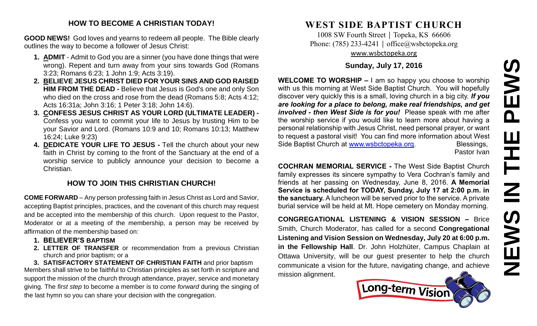# **NEWS IN THE PEWS**PEWS  $\mathbf{u}$ HH<br>N<br>N EWS Z

#### **HOW TO BECOME A CHRISTIAN TODAY!**

**GOOD NEWS!** God loves and yearns to redeem all people. The Bible clearly outlines the way to become a follower of Jesus Christ:

- **1. ADMIT** Admit to God you are a sinner (you have done things that were wrong). Repent and turn away from your sins towards God (Romans 3:23; Romans 6:23; 1 John 1:9; Acts 3:19).
- **2. BELIEVE JESUS CHRIST DIED FOR YOUR SINS AND GOD RAISED HIM FROM THE DEAD -** Believe that Jesus is God's one and only Son who died on the cross and rose from the dead (Romans 5:8; Acts 4:12; Acts 16:31a; John 3:16; 1 Peter 3:18; John 14:6).
- **3. CONFESS JESUS CHRIST AS YOUR LORD (ULTIMATE LEADER) -** Confess you want to commit your life to Jesus by trusting Him to be your Savior and Lord. (Romans 10:9 and 10; Romans 10:13; Matthew 16:24; Luke 9:23)
- **4. DEDICATE YOUR LIFE TO JESUS -** Tell the church about your new faith in Christ by coming to the front of the Sanctuary at the end of a worship service to publicly announce your decision to become a Christian.

## **HOW TO JOIN THIS CHRISTIAN CHURCH!**

**COME FORWARD** – Any person professing faith in Jesus Christ as Lord and Savior, accepting Baptist principles, practices, and the covenant of this church may request and be accepted into the membership of this church. Upon request to the Pastor, Moderator or at a meeting of the membership, a person may be received by affirmation of the membership based on:

- **1. BELIEVER'S BAPTISM**
- **2. LETTER OF TRANSFER** or recommendation from a previous Christian church and prior baptism; or a

**3. SATISFACTORY STATEMENT OF CHRISTIAN FAITH** and prior baptism Members shall strive to be faithful to Christian principles as set forth in scripture and support the mission of the church through attendance, prayer, service and monetary giving. The *first step* to become a member is to *come forward* during the singing of the last hymn so you can share your decision with the congregation.

# **WEST SIDE BAPTIST CHURCH**

1008 SW Fourth Street | Topeka, KS 66606 Phone: (785) 233-4241 │ [office@wsbctopeka.org](mailto:office@wsbctopeka.org) [www.wsbctopeka.org](http://www.wsbctopeka.org/)

#### **Sunday, July 17, 2016**

**WELCOME TO WORSHIP –** I am so happy you choose to worship with us this morning at West Side Baptist Church. You will hopefully discover very quickly this is a small, loving church in a big city. *If you are looking for a place to belong, make real friendships, and get involved - then West Side is for you!* Please speak with me after the worship service if you would like to learn more about having a personal relationship with Jesus Christ, need personal prayer, or want to request a pastoral visit! You can find more information about West Side Baptist Church at [www.wsbctopeka.org.](http://www.wsbctopeka.org/) Blessings,

Pastor Ivan

**COCHRAN MEMORIAL SERVICE -** The West Side Baptist Church family expresses its sincere sympathy to Vera Cochran's family and friends at her passing on Wednesday, June 8, 2016. **A Memorial Service is scheduled for TODAY, Sunday, July 17 at 2:00 p.m. in the sanctuary.** A luncheon will be served prior to the service. A private burial service will be held at Mt. Hope cemetery on Monday morning.

**CONGREGATIONAL LISTENING & VISION SESSION –** Brice Smith, Church Moderator, has called for a second **Congregational Listening and Vision Session on Wednesday, July 20 at 6:00 p.m. in the Fellowship Hall**. Dr. John Holzhüter, Campus Chaplain at Ottawa University, will be our guest presenter to help the church communicate a vision for the future, navigating change, and achieve mission alignment.

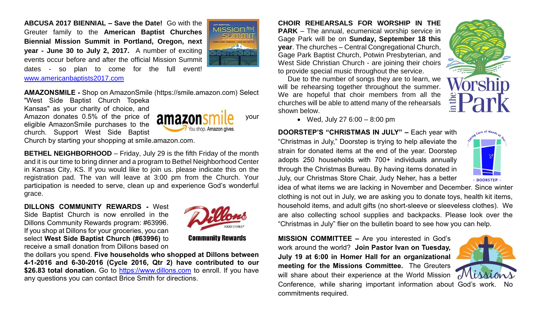**ABCUSA 2017 BIENNIAL – Save the Date!** Go with the Greuter family to the **American Baptist Churches Biennial Mission Summit in Portland, Oregon, next year - June 30 to July 2, 2017.** A number of exciting events occur before and after the official Mission Summit dates - so plan to come for the full event!



[www.americanbaptists2017.com](http://www.americanbaptists2017.com/)

**AMAZONSMILE -** Shop on AmazonSmile (https://smile.amazon.com) Select

"West Side Baptist Church Topeka Kansas" as your charity of choice, and Amazon donates  $0.5\%$  of the price of **AMAZONCMILA** vour eligible AmazonSmile purchases to the church. Support West Side Baptist



Church by starting your shopping at smile.amazon.com.

**BETHEL NEIGHBORHOOD** – Friday, July 29 is the fifth Friday of the month and it is our time to bring dinner and a program to Bethel Neighborhood Center in Kansas City, KS. If you would like to join us. please indicate this on the registration pad. The van will leave at 3:00 pm from the Church. Your participation is needed to serve, clean up and experience God's wonderful grace.

**DILLONS COMMUNITY REWARDS -** West Side Baptist Church is now enrolled in the Dillons Community Rewards program: #63996. If you shop at Dillons for your groceries, you can select **West Side Baptist Church (#63996)** to receive a small donation from Dillons based on



**Community Rewards** 

the dollars you spend. **Five households who shopped at Dillons between 4-1-2016 and 6-30-2016 (Cycle 2016, Qtr 2) have contributed to our**  \$26.83 total donation. Go to [https://www.dillons.com](https://www.dillons.com/) to enroll. If you have any questions you can contact Brice Smith for directions.

**CHOIR REHEARSALS FOR WORSHIP IN THE PARK** – The annual, ecumenical worship service in Gage Park will be on **Sunday, September 18 this year**. The churches – Central Congregational Church, Gage Park Baptist Church, Potwin Presbyterian, and West Side Christian Church - are joining their choirs

Due to the number of songs they are to learn, we will be rehearsing together throughout the summer. We are hopeful that choir members from all the churches will be able to attend many of the rehearsals shown below.

to provide special music throughout the service.



Wed, July 27 6:00 – 8:00 pm

**DOORSTEP'S "CHRISTMAS IN JULY" –** Each year with "Christmas in July," Doorstep is trying to help alleviate the strain for donated items at the end of the year. Doorstep adopts 250 households with 700+ individuals annually through the Christmas Bureau. By having items donated in July, our Christmas Store Chair, Judy Neher, has a better

· DOORSTEP ·

idea of what items we are lacking in November and December. Since winter clothing is not out in July, we are asking you to donate toys, health kit items, household items, and adult gifts (no short-sleeve or sleeveless clothes). We are also collecting school supplies and backpacks. Please look over the "Christmas in July" flier on the bulletin board to see how you can help.

**MISSION COMMITTEE –** Are you interested in God's work around the world? **Join Pastor Ivan on Tuesday, July 19 at 6:00 in Homer Hall for an organizational meeting for the Missions Committee.** The Greuters will share about their experience at the World Mission  $\partial V$   $\partial M$ Conference, while sharing important information about God's work. commitments required.

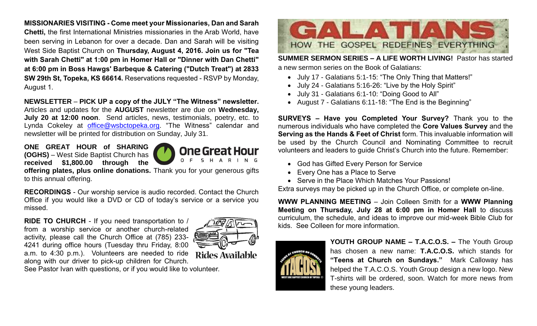#### **MISSIONARIES VISITING - Come meet your Missionaries, Dan and Sarah**

**Chetti,** the first International Ministries missionaries in the Arab World, have been serving in Lebanon for over a decade. Dan and Sarah will be visiting West Side Baptist Church on **Thursday, August 4, 2016. Join us for "Tea with Sarah Chetti" at 1:00 pm in Homer Hall or "Dinner with Dan Chetti" at 6:00 pm in Boss Hawgs' Barbeque & Catering ("Dutch Treat") at 2833 SW 29th St, Topeka, KS 66614.** Reservations requested - RSVP by Monday, August 1.

**NEWSLETTER** – **PICK UP a copy of the JULY "The Witness" newsletter.**  Articles and updates for the **AUGUST** newsletter are due on **Wednesday, July 20 at 12:00 noon**. Send articles, news, testimonials, poetry, etc. to Lynda Cokeley at [office@wsbctopeka.org.](mailto:office@wsbctopeka.org) "The Witness" calendar and newsletter will be printed for distribution on Sunday, July 31.

**ONE GREAT HOUR of SHARING (OGHS)** – West Side Baptist Church has **received \$1,800.00 through the** 





**offering plates, plus online donations.** Thank you for your generous gifts to this annual offering.

**RECORDINGS** - Our worship service is audio recorded. Contact the Church Office if you would like a DVD or CD of today's service or a service you missed.

**RIDE TO CHURCH** - If you need transportation to / from a worship service or another church-related activity, please call the Church Office at (785) 233- 4241 during office hours (Tuesday thru Friday, 8:00 a.m. to 4:30 p.m.). Volunteers are needed to ride along with our driver to pick-up children for Church.



See Pastor Ivan with questions, or if you would like to volunteer.



**SUMMER SERMON SERIES – A LIFE WORTH LIVING!** Pastor has started a new sermon series on the Book of Galatians:

- July 17 Galatians 5:1-15: "The Only Thing that Matters!"
- July 24 Galatians 5:16-26: "Live by the Holy Spirit"
- July 31 Galatians 6:1-10: "Doing Good to All"
- August 7 Galatians 6:11-18: "The End is the Beginning"

**SURVEYS – Have you Completed Your Survey?** Thank you to the numerous individuals who have completed the **Core Values Survey** and the **Serving as the Hands & Feet of Christ** form. This invaluable information will be used by the Church Council and Nominating Committee to recruit volunteers and leaders to guide Christ's Church into the future. Remember:

- God has Gifted Every Person for Service
- Every One has a Place to Serve
- Serve in the Place Which Matches Your Passions!

Extra surveys may be picked up in the Church Office, or complete on-line.

**WWW PLANNING MEETING** – Join Colleen Smith for a **WWW Planning Meeting on Thursday, July 28 at 6:00 pm in Homer Hall** to discuss curriculum, the schedule, and ideas to improve our mid-week Bible Club for kids. See Colleen for more information.



**YOUTH GROUP NAME – T.A.C.O.S. –** The Youth Group has chosen a new name: **T.A.C.O.S.** which stands for **"Teens at Church on Sundays."** Mark Calloway has helped the T.A.C.O.S. Youth Group design a new logo. New T-shirts will be ordered, soon. Watch for more news from these young leaders.